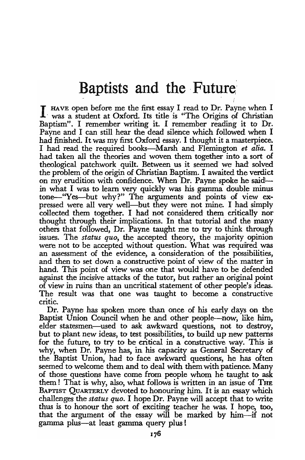# Baptists and the Future

I HAVE open before me the first essay I read to Dr. Payne when I was a student at Oxford. Its title is "The Origins of Christian Baptism". I remember writing it. I remember reading it to Dr. Payne and I can still hear the dead silence which followed when I had finished. It was my first Oxford essay. I thought it a masterpiece. I had read the required books-Marsh and Flemington *et alia.* I had taken all the theories and woven them together into a sort of theological patchwork quilt. Between us it seemed we had solved the problem of the origin of Christian Baptism. I awaited the verdict on my erudition with confidence. When Dr. Payne spoke he said--in what I was to learn very quickly was his gamma double minus tone-"Yes--but why?" The arguments and points of view expressed were all very well-but they were not mine. I had simply collected them together. I had not considered them critically nor thought through their implications. In that tutorial and the many others that followed, Dr. Payne taught me to try to think through issues. The *status quo,* the accepted theory, the majority opinion were not to be accepted without question. What was required was an assessment of the evidence, a consideration of the possibilities, and then to set down a constructive point of view of the matter in hand. This point of view was one that would have to be defended against the incisive attacks of the tutor, but rather an original point of view in ruins than an uncritical statement of other people's ideas. The result was that one was taught to become a constructive critic.

Dr. Payne has spoken more than once of his early days on the Baptist Union Council when he and other people—now, like him, elder statesmen—used to ask awkward questions, not to destroy, but to plant new ideas, to test possibilities, to build up new patterns for the future, to try to be critical in a constructive way. This is why, when Dr. Payne has, in his capacity as General Secretary of the Baptist Union, had to face awkward questions, he has often seemed to welcome them and to deal with them with patience. Many of those questions have come from people whom he taught to ask them! That is why, also, what follows is written in an issue of THE BAPTIST QUARTERLY devoted to honouring him. It is an essay which challenges the *status quo.* I hope Dr. Payne will accept that to write thus is to honour the sort of exciting teacher he was. I hope, too, that the argument of the essay will be marked by him-if not gamma plus-at least gamma query plus !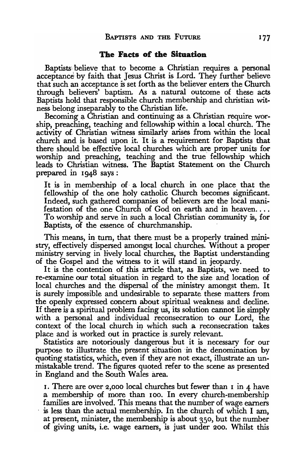#### The Facts of the Situation

. Baptists! believe that to become a Christian requires a personal acceptance by faith that Jesus Christ is Lord. They further believe that such an acceptance is set forth as the believer enters the Church through believers' baptism. As a natural outcome of these acts Baptists hold that responsible church membership and christian witness belong inseparably to the Christian life.

Becoming a Christian and continuing as a Christian require worship, preaching, teaching and fellowship within a local church. The activity of Christian witness similarly arises from within the local church and is based upon it. It is a requirement for Baptists that there should be effective local churches which are proper units for worship and preaching, teaching and the true fellowship which leads to Christian witness. The Baptist Statement on, the Church prepared in 1948 says:

It is in membership of a local church in one place that the fellowship of the one holy catholic Church becomes significant. Indeed, such gathered companies of believers are the local manifestation of the one Church of God on earth and in heaven .... To worship and serve in such a local Christian community is, for Baptists, of the essence of churchmanship.

This means, in turn, that there must be a properly trained ministry, effectively dispersed amongst local churches. Without a proper ministry serving in lively local churches, the Baptist understanding of the Gospel and the witness to it will stand in, jeopardy.

It is the contention of this article that, as Baptists, we need to re-examine our total situation in regard to the size and location of local churches and the dispersal of the ministry amongst them. It is surely impossible and undesirable to separate these matters from the openly expressed concern about spiritual weakness and decline. If there is a spiritual problem facing us, its solution cannot lie simply with a personal and individual reconsecration to our Lord, the context of the local church in which such a reconsecration takes place and is worked out in practice is surely relevant.

Statistics are notoriously dangerous but it is necessary for our purpose to illustrate the present situation in the denomination by quoting statistics, which, even if they are not exact, illustrate an unmistakable trend. The figures quoted refer to the scene as presented in England and the South Wales area.

I. There are over 2,000 local churches but fewer than I in 4 have a membership of more than 100. In every church-membership families are involved. This means that the number of wage earners is less than the actual membership. In the church of which I am, at present, minister, the membership is about 350, but the number of giving units, i.e. wage earners, is just under 200. Whilst this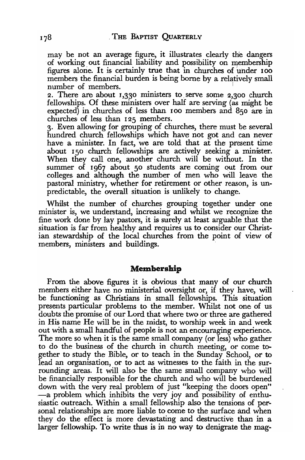may be not an average figure, it illustrates clearly the dangers of working out financial liability and possibility on membership figures alone. It is certainly true that in churches of under 100 members the financial burden is being borne by a relatively small number of members.

2. There are about 1,330 ministers to serve some 2,300 church fellowships. Of these ministers over half are serving (as might be expected) in churches of less than I 00 members and 850 are in churches of less than 125 members.

3. Even allowing for grouping of churches, there must be several hundred church fellowships which have not got and can never have a minister. In fact, we are told that at the present time about 150 church fellowships are actively seeking a minister. When they call one, another church will be without. In the summer of 1967 about 50 students are coming out from our colleges, and although the number of men who will leave the pastoral ministry, whether for retirement or other reason, is unpredictable, the overall situation is unlikely to change.

Whilst the number of churches grouping together under one minister is, we understand, increasing and whilst we recognize the fine work done by lay pastors, it is surely at least arguable that the situation is far from healthy and requires us to consider our Christian stewardship of the local churches from the point of view of members, ministers and buildings.

#### Membership

From the above figures it is obvious that many of our church members either have no ministerial oversight or, if they have, will be functioning as Christians in small fellowships. This situation presents particular problems to the member. Whilst not one of us doubts the promise of our Lord that where two or three are gathered in His name He will be in the midst, to worship week in and week out with a small handful of people is not an encouraging experience. The more so when it is the same small company (or less) who gather to do the business of the church in church meeting, or come together to study the Bible, or to teach in the Sunday School, or to lead an organisation, or to act as witnesses to the faith in the surrounding areas. It will also be the same small company who will be financially responsible for the church and who will be burdened down with the very real problem of just "keeping the doors open" -a problem which inhibits the very joy and possibility of enthusiastic outreach. Within a small fellowship also the tensions of personal relationships are more liable to come to the surface and when they do the effect is more devastating and destructive than in a larger fellowship. To write thus is in no way to denigrate the mag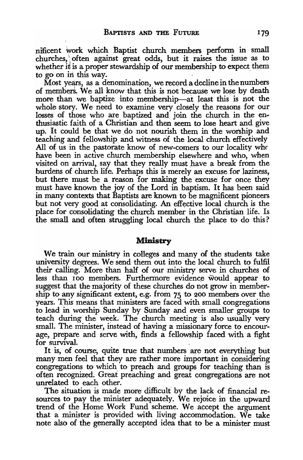nificent work which Baptist church members perform in small churches, \ often against great. odds, but it raises the issue as to whether it is a proper stewardship of our membership to expect them to go on in this way.

Most years, as a denomination, we record a decline in the numbers of memberS, We all know that this is not because we lose by death more than we baptize into membership-at least this is not the whole story. We need to examine very closely the reasons for our losses of those who are baptized and join the church in the enthusiastic faith of a Christian and then seem to lose heart and give up. It could be that we do not nourish them in the worship and teaching and fellowship and witness Of the local church effectively . All of us in the pastorate know of new-comers to our locality whr have been in active church membership elsewhere and who, when visited on arrival, say that they really must have a break from the burdens of church life. Perhaps this is merely an excuse for laziness, but there must be a reason for making the excuse for once they must have known the joy of the Lord in baptism. It has been said in many contexts that Baptists are known to be magnificent pioneers but not very good at consolidating. An effective local church is the place for consolidating the church member in the Christian life. Is the small and often struggling local church the place to do this?

#### Ministry

We train our ministry in colleges and many of the students take university degrees. We send them out into the local church to fulfil their calling. More than half of our ministry serve in churches of less than 100 members. Furthermore evidence would appear to suggest that the majority of these churches do not grow in membership to any significant extent, e.g. from 75 to 200 members over the years'. This means that ministers are faced with small congregations to lead in worship Sunday by Sunday and even. smaller groups to teach during the week. The church meeting is· also usually very small. The minister, instead of having a missionary force to encourage, prepare and serve with, finds a fellowship faced with a fight for survival.

It is, of course, quite true that numbers are not everything but many men feel that they are rather more important in considering congregations to which to preach and groups for teaching than is often recognized. Great preaching and great congregations are not unrelated to each other. .

The situation is made more difficult by the lack of financial resources to pay the minister adequately. We rejoice in the upward trend of the Home Work Fund scheme. We accept the argument that a minister is provided with living accommodation. We take note also of the generally accepted idea that to be a minister must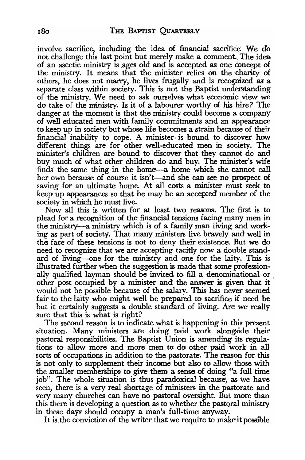involve sacrifice, including the idea of financial sacrifice. We do not challenge this last point but merely make a comment. The idea of an ascetic ministry is ages old and is accepted as one concept of the ministry. It means that the minister relies on the charity of others, he does not marry, he lives frugally and is recognized as a separate class within society. This is not the Baptist understanding of the ministry. We need to ask ourselves what economic view we do take of the ministry. Is it of a labourer worthy of his hire? The danger at the moment is that the ministry could become a company of well educated men with family COmmitments and an appearance to keep up in society but whose life becomes a strain because of their financial inability to cope. A minister is bound to discover how different things are for other well-educated men in society. The minister's children are bound to discover that they cannot do and buy much of what other children do and buy. The minister's wife finds the same thing in the home—a home which she cannot call her own because of course it isn't—and she can see no prospect of saving for an ultimate home. At all costs a minister must seek to keep up appearances so that he may be an accepted' member of the society in which he must live.<br>Now all this is written for at least two reasons. The first is to

plead for a recognition of the financial tensions facing' many men in the ministry-a ministry which is of a family man living and working as part of society. That many ministers live bravely and well in the face of these tensions is not to deny their existence. But we do need to recognize that we are accepting tacitly now a double standard of living-one for the ministry and one for the laity. This is illustrated further when the suggestion is made that some professionally qualified layman should be invited to fill a denominational or other post occupied by a minister and the answer is given that it would not be possible because of the salary. This has never seemed fair to the laity who might well be prepared to sacrifice if need be but it certainly suggests a double standard of living. Are we really sure that this is what is right?

The second reason is to indicate what is happening in this present situation. Many ministers are doing paid work alongside their pastoral responsibilities. The Baptist Union is amending its regulations to allow more and more men to do other paid work in all sorts of occupations in addition to the pastorate. The reason for this is not only to supplement their income but also to allow those with the smaller memberships to give them a sense of doing "a full time job". The whole situation is thus paradoxical because, as we have seen, there is a very real shortage of ministers in the pastorate and very many churches can have no pastoral oversight. But more than this there is developing a question as to whether the pastoral ministry in these days' should occupy a man's full-time anyway.

It is the conviction of the writer that we require to make it possible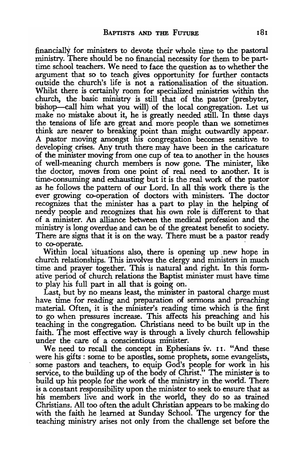financially for ministers to devote their whole time to the pastoral ministry. There should be no financial necessity for them to be parttime school teachers. We need to face the question as to whether the argument that so to teach gives opportunity for further contacts outside the church's life is not a rationalisation of the situation. Whilst there is certainly room for specialized ministries within the church, the -basic ministry is still that of the pastor (presbyter, bishop-call him what you will) of the local congregation. Let us make no mistake about it, he is greatly needed still. In these days the tensions of life are great and more people than we sometimes think are nearer to breaking point than might outwardly appear. A pastor moving amongst his congregation becomes sensitive to developing crises. Any truth there may have been in the caricature of the minister moving from one cup of tea to another in the houses of well-meaning church members is now gone. The minister, like the doctor, moves from one point of real need to another. It is time-consuming and exhausting but it is the real work of the pastor as he follows the pattern of our Lord. In all this work there is the ever growing co-operation of doctors with ministers. The doctor recognizes that the minister has a part to play in the helping of needy people and recognizes that his own role is different to that of a minister. An alliance between the medical profession and the ministry is long overdue and can be of the greatest benefit to society. There are signs that it is on the way. There must be a pastor ready to co-operate.

Within local situations also, there is opening up new hope in church relationships. This involves the clergy and ministers in much time and prayer together. This is natural and right. In this formative period of church relations the Baptist minister must have time to play his full part in all that is going on.

Last, but by no means least, the minister in pastoral charge must have time for reading and preparation of sermons and preaching material. Often, it is the minister's reading time which is the first to go when pressures increase. This affects his preaching and his teaching in the congregation. Christians need to be built up in the faith. The most effective way is through a lively church fellowship under the care of a conscientious minister.

We need to recall the concept in Ephesians iv. II. "And these were his gifts : some to be apostles, some prophets, some evangelists, some pastors and teachers, to equip God's people for work in his service, to the building up of the body of Christ." The minister is to build up his people for the work of the ministry in the world. There is a constant responsibility upon the minister to seek to ensure that as his members live and work in the world, they do so as trained Christians. All too often the adult Christian appears to be making do with the faith he learned at Sunday School. The urgency for the teaching ministry arises not only from the challenge set before the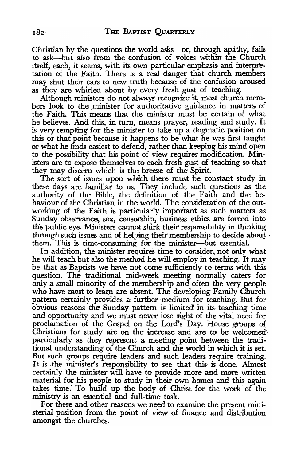Christian by the questions the world asks-or, through apathy, fails to ask-but also from the confusion of voices within the Church itself, each, it seems, with its own particular emphasis and interpretation of the Faith. There is a real danger that church members may shut their ears to new truth because of the confusion aroused as they are whirled: about by every fresh gust of teaching.

Although ministers do not always recognize it, most church members look to the minister for authoritative guidance in matters of the Faith. This means that the minister must be certain of what he believes. And this, in turn, means prayer, reading and study. It is very tempting for the minister to take up a dogmatic position on this or that point because it happens to be what he was first taught or what he finds easiest to defend, rather than keeping his mind open to the possibility that his point of view requires modification. Ministers are to expose themselves to each fresh gust of teaching so that they may discern which is the breeze of the Spirit. .

The sort of issues upon which there must be constant study in these days are familiar to us. They include such questions as the authority of the Bible, the definition of the Faith and the behaviour of the Christian in the world. The consideration of the outworking of the Faith is particularly important as such matters as Sunday observance, sex, censorship, business ethics are forced into the public eye. Ministers cannot shirk their responsibility in thinking through such issues and of helping their membership to decide about them. This is time-consuming for the minister--but essential.

In addition, the minister requires time to consider, not only what he will teach but also the method he will employ in teaching. It may he will teach but also the method he will employ in teaching. It may<br>be that as Baptists we have not come sufficiently to terms with this question. The traditional mid-week meeting normally caters for only a small minority of the membership and often the very people who have most to learn are absent. The developing Family Church pattern certainly provides a further medium for teaching. But for obvious reasons the Sunday pattern is limited in *its* teaching time and opportunity and we' must never lose sight of the vital need for proclamation of the Gospel on the Lord's Day. House groups of Christians for study are on the increase and are to be welcomed $\setminus$ particularly as they represent a meeting point between the traditional understanding of the Church and the world in which it is set. But suCh groups require leaders and such leaders require training. It is the minister's responsibility to see that this is done. Almost certainly the minister will have to provide more and more written material for his people to study in their own homes and this again takes time. To build up the body of Christ for the work of the ministry is an essential and full-time task.

For these and other reasons we need to examine the present ministerial position' from the point of view of finance and distribution amongst the churches.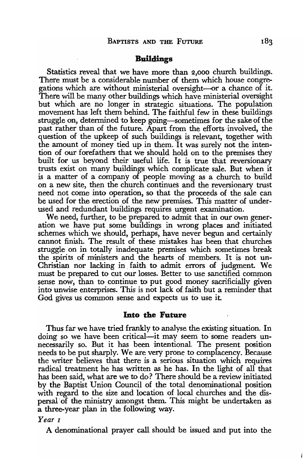#### **Buildings**

Statistics reveal that we have more than 2,000 church buildings. There must be a considerable number of them which house congregations which are without ministerial oversight-or a chance of it. There will be many other buildings which have ministerial oversight but which are no longer in strategic situations. The population movement has left them behind. The faithful few in these buildings struggle on, determined to keep going—sometimes for the sake of the past rather than of the future. Apart from the efforts involved, the question of the upkeep of such buildings is, relevant, together with the amount of money tied up in them. It was surely not the intention of our forefathers that we should hold on to the premises they built for us beyond their useful life. It is true that reversionary trusts exist on many buildings: which complicate sale. But when it is a matter of a company of people' moving as a church to build on a new site, then the church continues and the reversionary trust need not come into operation, so that the proceeds of the sale can be used for the erection of the new premises. This matter of underused and redundant buildings requires urgent examination.

We need, further, to be prepared to admit that in our own generation we have put some buildings in wrong places and initiated schemes: which we should, perhaps, have never begun and certainly cannot finish. The' result of these mistakes has been that churches struggle on in totally inadequate premises which sometimes break the spirits of ministers and the hearts of members. It is not un-Christian nor lacking in faith to admit errors of judgment. We must be prepared to cut our losses. Better to use sanctified common sense now, than to continue to put good money sacrificially given into unwise enterprises. This is not lack of faith but a reminder that God gives us common sense and expects us to use it.

### Into the Future

Thus far we have tried frankly to analyse the existing situation. In doing so we have been critical—it may seem to some readers unnecessarily so. But it has been intentional. The present position needs to be put sharply. We are very prone to complacency. Because the writer believes that there is a serious situation which requires radical treatment he has written as he has. In the light of all that has been said, what are we to do? There should be a review initiated by the Baptist Union Council of the total denominational position with regard to the size and location of local churches and the dispersal' of the ministry amongst them. This might be undertaken as a three-year plan in the following way.

*Year 1* 

A denominational prayer call should be issued and put into the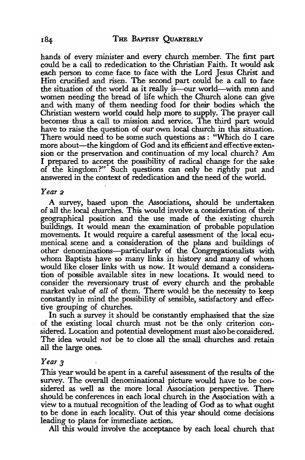hands of every minister and every church member. The first part could be a call to rededication to the Christian Faith. It would ask each person to come face to face with the Lord Jesus Christ and Him crucified and risen. The second part could be a call to face the situation of the world as it really is—our world—with men and women needing the bread of life which the Church alone can give and with many of them needing food for their bodies which the Christian western world could help more to supply. The prayer call becomes thus a call to mission and service. The third part would have to raise the question of our own local church in this situation. There would need to be some such questions as: "Which do I care more about—the kingdom of God and its efficient and effective extension or the preservation and continuation of my local church? Am I prepared to accept the possibility of radical change for the sake of the kingdom?" Such questions can only be rightly put and answered in the context of rededication and the need of the world.

#### *Year 2*

A survey, based upon the Associations, should be undertaken of all the local churches. This would involve a consideration of their geographical position and the use made of the existing church buildings. It would mean the examination of probable population movements. It would require a careful assessment of the local ecumenical scene and a consideration of the plans and buildings of other denominations-particularly of the Congregationalists with whom Baptists have so many links in history and many of whom would like closer links with us now. It would demand a consideration of possible available sites in new locations. It would need to consider the reversionary trust of every church and the probable market value of *all* of them. There would be the necessity to keep constantly in mind the possibility of sensible, satisfactory and effective grouping of churches.

In such a survey it should be constantly emphasised that the size of the existing local church must not be the only criterion considered. Location and potential development must also be considered. The idea would *not* be to close all the small churches and retain all the large ones.

## *Year 3*

This year would be spent in a careful assessment of the results of the survey. The overall denominational picture would have to be considered as well as the more local Association perspective. There should be conferences in each local church in the Association with a view to a mutual recognition of the leading of God as to what ought to be done in each IDCality. Out of this year should come decisions leading to plans for immediate action. .

All this would involve the acceptance by each local church that